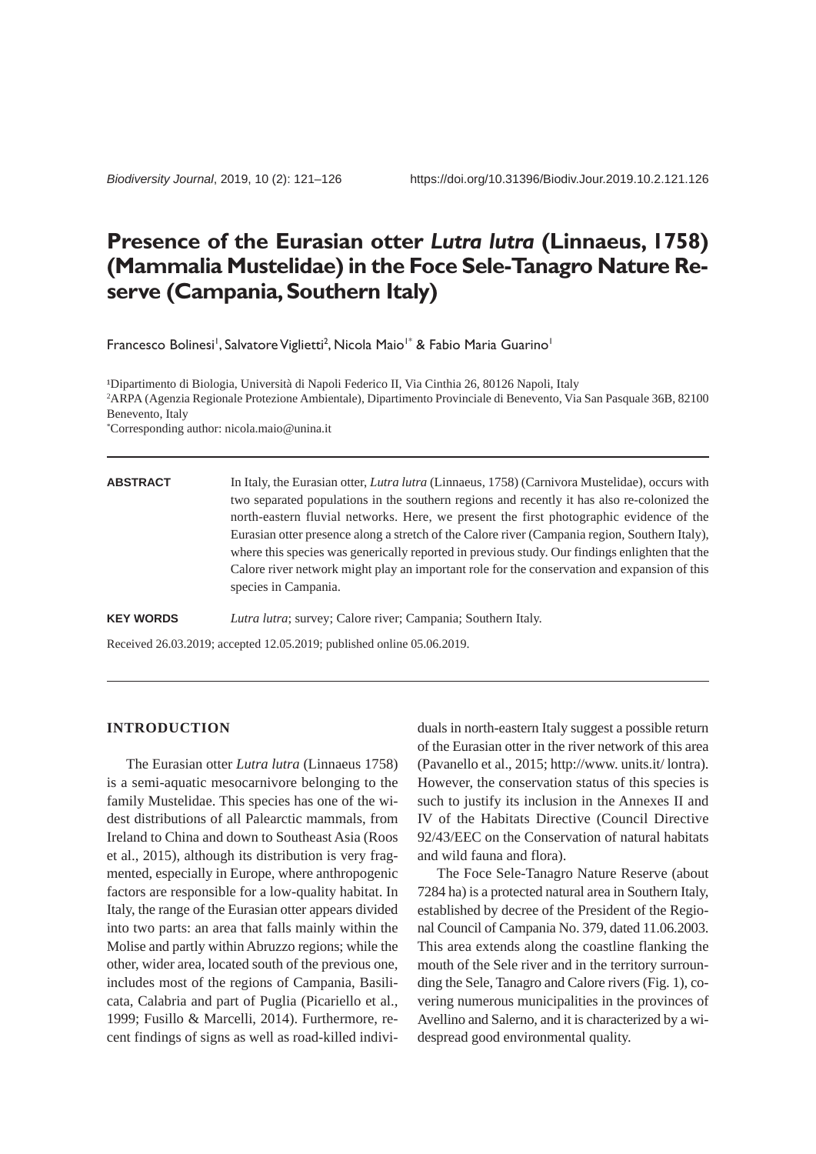# **Presence of the Eurasian otter** *Lutra lutra* **(Linnaeus, 1758) (Mammalia Mustelidae) in the Foce Sele-Tanagro Nature Reserve (Campania, Southern Italy)**

Francesco Bolinesi<sup>1</sup>, Salvatore Viglietti<sup>2</sup>, Nicola Maio<sup>1\*</sup> & Fabio Maria Guarino<sup>1</sup>

<sup>1</sup>Dipartimento di Biologia, Università di Napoli Federico II, Via Cinthia 26, 80126 Napoli, Italy 2 ARPA (Agenzia Regionale Protezione Ambientale), Dipartimento Provinciale di Benevento, Via San Pasquale 36B, 82100 Benevento, Italy \* Corresponding author: nicola.maio@unina.it

| <b>ABSTRACT</b> | In Italy, the Eurasian otter, <i>Lutra lutra</i> (Linnaeus, 1758) (Carnivora Mustelidae), occurs with |
|-----------------|-------------------------------------------------------------------------------------------------------|
|                 | two separated populations in the southern regions and recently it has also re-colonized the           |
|                 | north-eastern fluvial networks. Here, we present the first photographic evidence of the               |
|                 | Eurasian otter presence along a stretch of the Calore river (Campania region, Southern Italy),        |
|                 | where this species was generically reported in previous study. Our findings enlighten that the        |
|                 | Calore river network might play an important role for the conservation and expansion of this          |
|                 | species in Campania.                                                                                  |
|                 |                                                                                                       |

**KEY WORDS** *Lutra lutra*; survey; Calore river; Campania; Southern Italy.

Received 26.03.2019; accepted 12.05.2019; published online 05.06.2019.

## **INTRODUCTION**

The Eurasian otter *Lutra lutra* (Linnaeus 1758) is a semi-aquatic mesocarnivore belonging to the family Mustelidae. This species has one of the widest distributions of all Palearctic mammals, from Ireland to China and down to Southeast Asia (Roos et al., 2015), although its distribution is very fragmented, especially in Europe, where anthropogenic factors are responsible for a low-quality habitat. In Italy, the range of the Eurasian otter appears divided into two parts: an area that falls mainly within the Molise and partly within Abruzzo regions; while the other, wider area, located south of the previous one, includes most of the regions of Campania, Basilicata, Calabria and part of Puglia (Picariello et al., 1999; Fusillo & Marcelli, 2014). Furthermore, recent findings of signs as well as road-killed individuals in north-eastern Italy suggest a possible return of the Eurasian otter in the river network of this area (Pavanello et al., 2015; http://www. units.it/ lontra). However, the conservation status of this species is such to justify its inclusion in the Annexes II and IV of the Habitats Directive (Council Directive 92/43/EEC on the Conservation of natural habitats and wild fauna and flora).

The Foce Sele-Tanagro Nature Reserve (about 7284 ha) is a protected natural area in Southern Italy, established by decree of the President of the Regional Council of Campania No. 379, dated 11.06.2003. This area extends along the coastline flanking the mouth of the Sele river and in the territory surrounding the Sele, Tanagro and Calore rivers (Fig. 1), covering numerous municipalities in the provinces of Avellino and Salerno, and it is characterized by a widespread good environmental quality.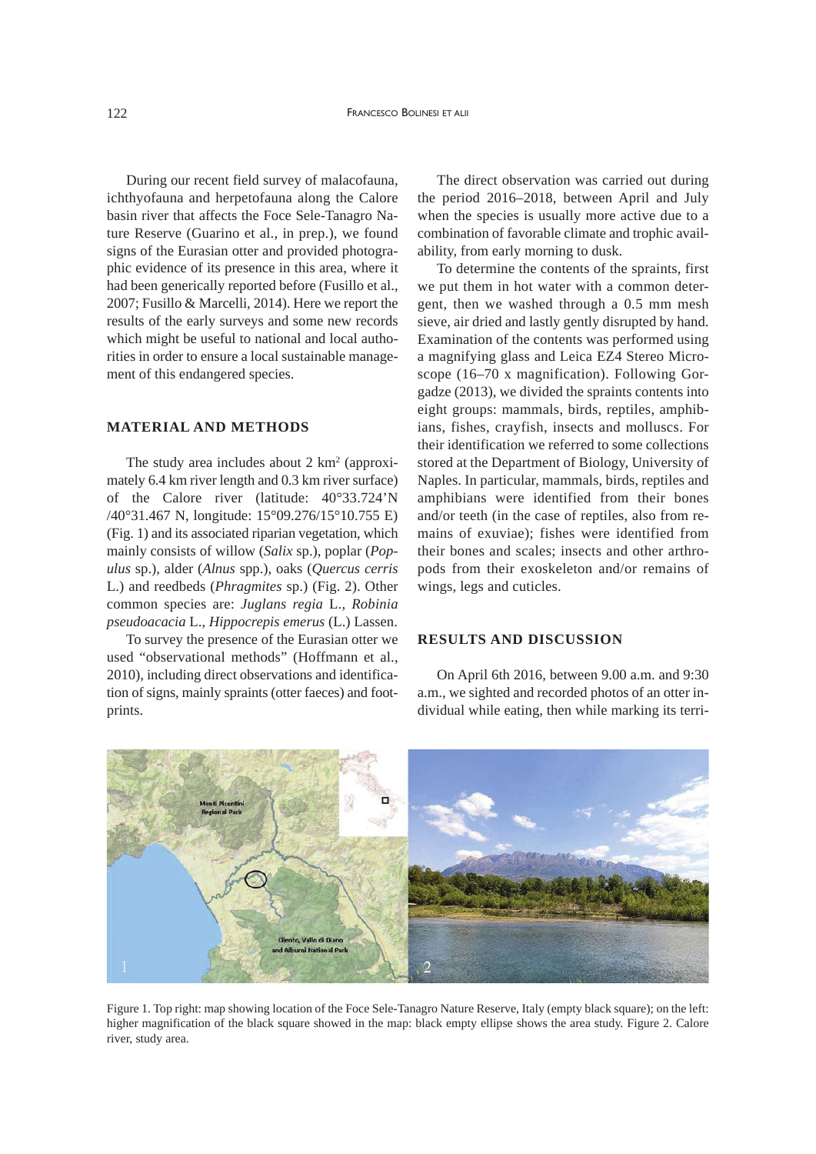During our recent field survey of malacofauna, ichthyofauna and herpetofauna along the Calore basin river that affects the Foce Sele-Tanagro Nature Reserve (Guarino et al., in prep.), we found signs of the Eurasian otter and provided photographic evidence of its presence in this area, where it had been generically reported before (Fusillo et al., 2007; Fusillo & Marcelli, 2014). Here we report the results of the early surveys and some new records which might be useful to national and local authorities in order to ensure a local sustainable management of this endangered species.

#### **MATERIAL AND METHODS**

The study area includes about 2 km<sup>2</sup> (approximately 6.4 km river length and 0.3 km river surface) of the Calore river (latitude: 40°33.724'N /40°31.467 N, longitude: 15°09.276/15°10.755 E) (Fig. 1) and its associated riparian vegetation, which mainly consists of willow (*Salix* sp.), poplar (*Populus* sp.), alder (*Alnus* spp.), oaks (*Quercus cerris* L.) and reedbeds (*Phragmites* sp.) (Fig. 2). Other common species are: *Juglans regia* L., *Robinia pseudoacacia* L., *Hippocrepis emerus* (L.) Lassen.

To survey the presence of the Eurasian otter we used "observational methods" (Hoffmann et al., 2010), including direct observations and identification of signs, mainly spraints (otter faeces) and footprints.

The direct observation was carried out during the period 2016–2018, between April and July when the species is usually more active due to a combination of favorable climate and trophic availability, from early morning to dusk.

To determine the contents of the spraints, first we put them in hot water with a common detergent, then we washed through a 0.5 mm mesh sieve, air dried and lastly gently disrupted by hand. Examination of the contents was performed using a magnifying glass and Leica EZ4 Stereo Microscope (16–70 x magnification). Following Gorgadze (2013), we divided the spraints contents into eight groups: mammals, birds, reptiles, amphibians, fishes, crayfish, insects and molluscs. For their identification we referred to some collections stored at the Department of Biology, University of Naples. In particular, mammals, birds, reptiles and amphibians were identified from their bones and/or teeth (in the case of reptiles, also from remains of exuviae); fishes were identified from their bones and scales; insects and other arthropods from their exoskeleton and/or remains of wings, legs and cuticles.

## **RESULTS AND DISCUSSION**

On April 6th 2016, between 9.00 a.m. and 9:30 a.m., we sighted and recorded photos of an otter individual while eating, then while marking its terri-



Figure 1. Top right: map showing location of the Foce Sele-Tanagro Nature Reserve, Italy (empty black square); on the left: higher magnification of the black square showed in the map: black empty ellipse shows the area study. Figure 2. Calore river, study area.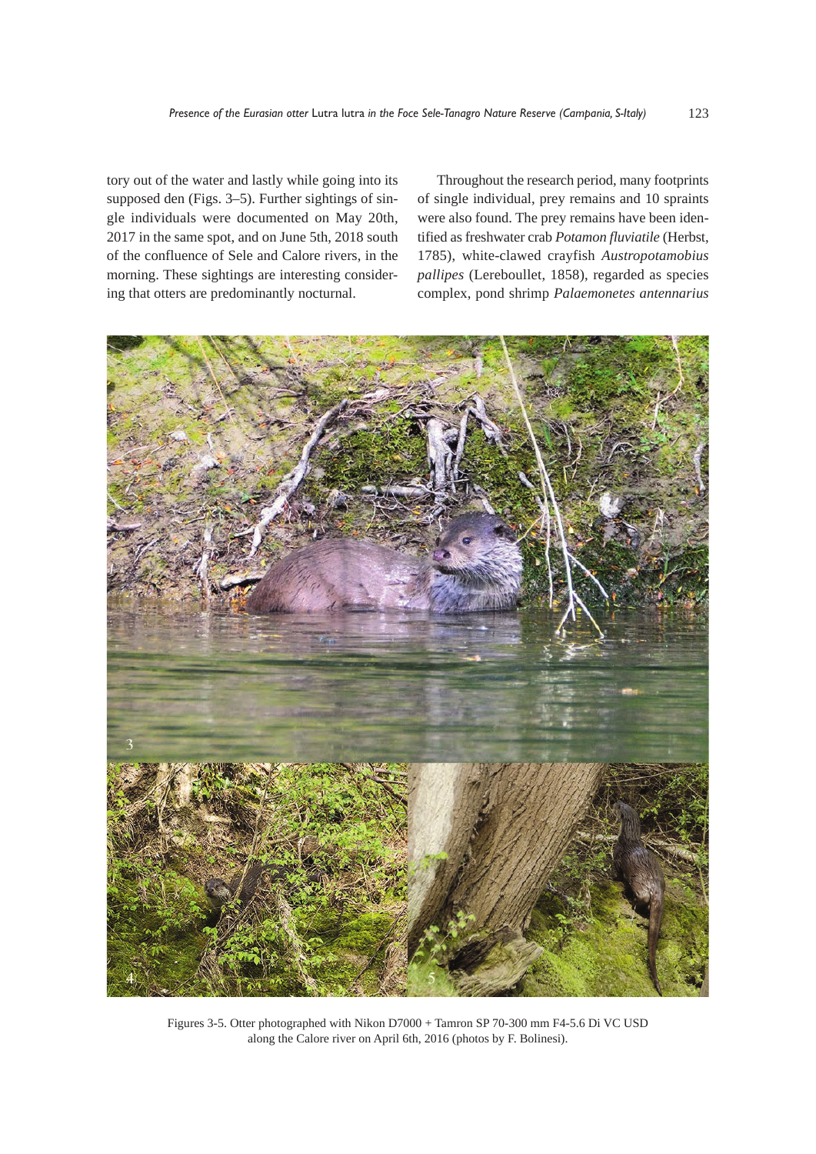tory out of the water and lastly while going into its supposed den (Figs. 3–5). Further sightings of single individuals were documented on May 20th, 2017 in the same spot, and on June 5th, 2018 south of the confluence of Sele and Calore rivers, in the morning. These sightings are interesting considering that otters are predominantly nocturnal.

Throughout the research period, many footprints of single individual, prey remains and 10 spraints were also found. The prey remains have been identified as freshwater crab *Potamon fluviatile* (Herbst, 1785), white-clawed crayfish *Austropotamobius pallipes* (Lereboullet, 1858), regarded as species complex, pond shrimp *Palaemonetes antennarius*



Figures 3-5. Otter photographed with Nikon D7000 + Tamron SP 70-300 mm F4-5.6 Di VC USD along the Calore river on April 6th, 2016 (photos by F. Bolinesi).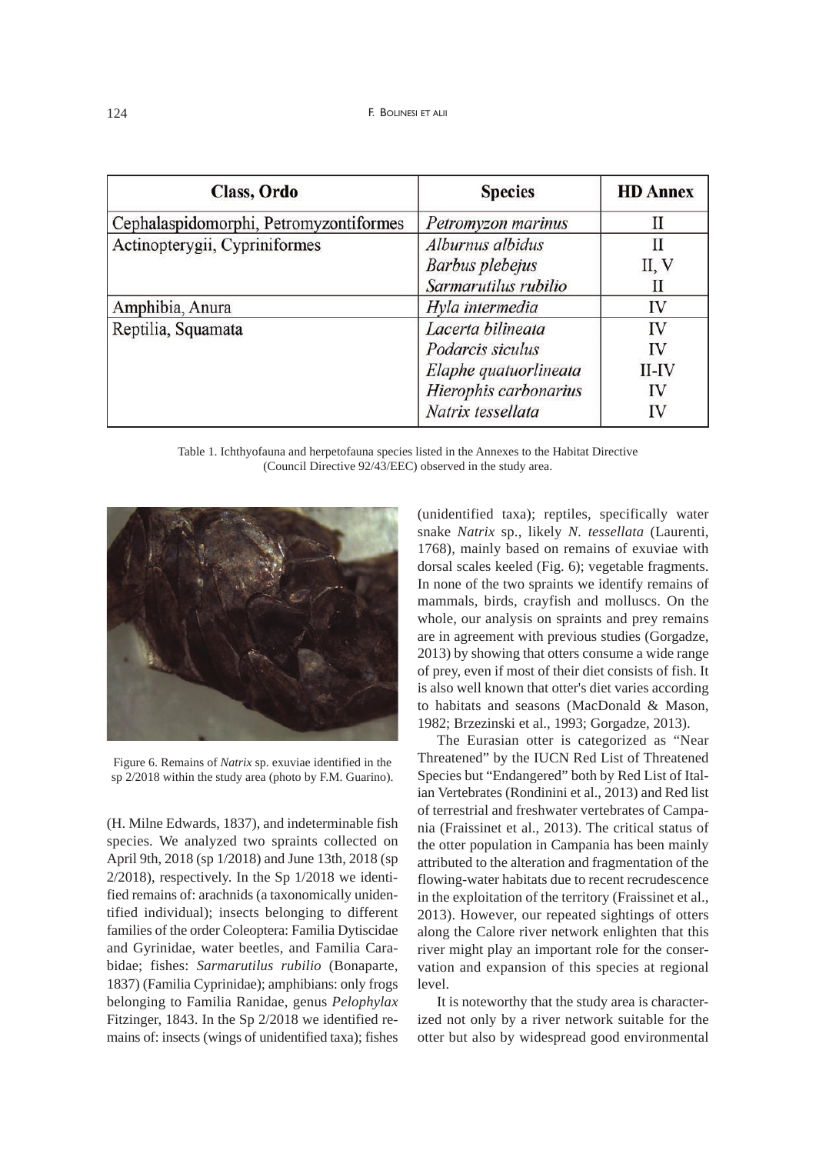| Class, Ordo                            | <b>Species</b>        | <b>HD Annex</b> |
|----------------------------------------|-----------------------|-----------------|
| Cephalaspidomorphi, Petromyzontiformes | Petromyzon marinus    | П               |
| Actinopterygii, Cypriniformes          | Alburnus albidus      | Н               |
|                                        | Barbus plebejus       | II, V           |
|                                        | Sarmarutilus rubilio  | Н               |
| Amphibia, Anura                        | Hyla intermedia       | IV              |
| Reptilia, Squamata                     | Lacerta bilineata     | IV              |
|                                        | Podarcis siculus      | IV              |
|                                        | Elaphe quatuorlineata | $II$ - $IV$     |
|                                        | Hierophis carbonarius | IV              |
|                                        | Natrix tessellata     | IV              |

Table 1. Ichthyofauna and herpetofauna species listed in the Annexes to the Habitat Directive (Council Directive 92/43/EEC) observed in the study area.



Figure 6. Remains of *Natrix* sp. exuviae identified in the sp 2/2018 within the study area (photo by F.M. Guarino).

(H. Milne Edwards, 1837), and indeterminable fish species. We analyzed two spraints collected on April 9th, 2018 (sp 1/2018) and June 13th, 2018 (sp  $2/2018$ ), respectively. In the Sp  $1/2018$  we identified remains of: arachnids (a taxonomically unidentified individual); insects belonging to different families of the order Coleoptera: Familia Dytiscidae and Gyrinidae, water beetles, and Familia Carabidae; fishes: *Sarmarutilus rubilio* (Bonaparte, 1837) (Familia Cyprinidae); amphibians: only frogs belonging to Familia Ranidae, genus *Pelophylax* Fitzinger, 1843. In the Sp 2/2018 we identified remains of: insects (wings of unidentified taxa); fishes

(unidentified taxa); reptiles, specifically water snake *Natrix* sp., likely *N. tessellata* (Laurenti, 1768), mainly based on remains of exuviae with dorsal scales keeled (Fig. 6); vegetable fragments. In none of the two spraints we identify remains of mammals, birds, crayfish and molluscs. On the whole, our analysis on spraints and prey remains are in agreement with previous studies (Gorgadze, 2013) by showing that otters consume a wide range of prey, even if most of their diet consists of fish. It is also well known that otter's diet varies according to habitats and seasons (MacDonald & Mason, 1982; Brzezinski et al., 1993; Gorgadze, 2013).

The Eurasian otter is categorized as "Near Threatened" by the IUCN Red List of Threatened Species but "Endangered" both by Red List of Italian Vertebrates (Rondinini et al., 2013) and Red list of terrestrial and freshwater vertebrates of Campania (Fraissinet et al., 2013). The critical status of the otter population in Campania has been mainly attributed to the alteration and fragmentation of the flowing-water habitats due to recent recrudescence in the exploitation of the territory (Fraissinet et al., 2013). However, our repeated sightings of otters along the Calore river network enlighten that this river might play an important role for the conservation and expansion of this species at regional level.

It is noteworthy that the study area is characterized not only by a river network suitable for the otter but also by widespread good environmental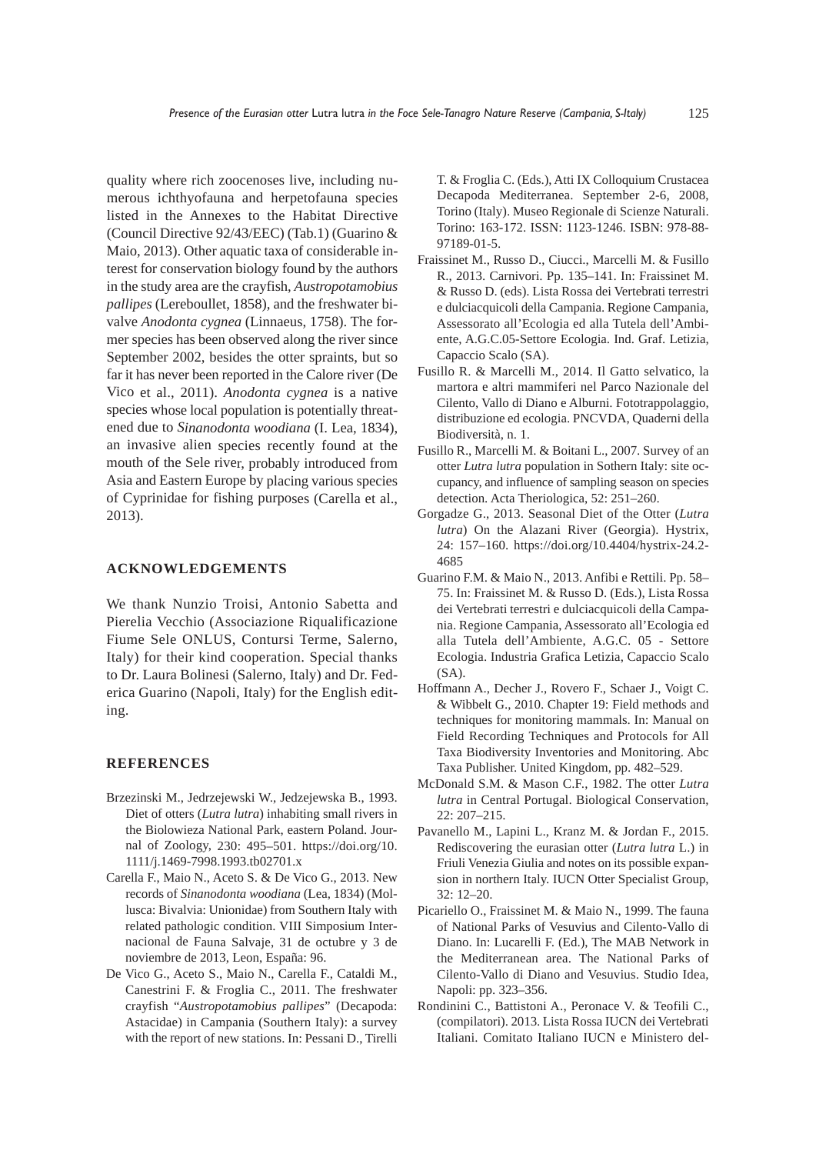quality where rich zoocenoses live, including numerous ichthyofauna and herpetofauna species listed in the Annexes to the Habitat Directive (Council Directive 92/43/EEC) (Tab.1) (Guarino & Maio, 2013). Other aquatic taxa of considerable interest for conservation biology found by the authors in the study area are the crayfish, *Austropotamobius pallipes* (Lereboullet, 1858), and the freshwater bivalve *Anodonta cygnea* (Linnaeus, 1758). The former species has been observed along the river since September 2002, besides the otter spraints, but so far it has never been reported in the Calore river (De Vico et al., 2011). *Anodonta cygnea* is a native species whose local population is potentially threatened due to *Sinanodonta woodiana* (I. Lea, 1834), an invasive alien species recently found at the mouth of the Sele river, probably introduced from Asia and Eastern Europe by placing various species of Cyprinidae for fishing purposes (Carella et al., 2013).

#### **ACKNOWLEDGEMENTS**

We thank Nunzio Troisi, Antonio Sabetta and Pierelia Vecchio (Associazione Riqualificazione Fiume Sele ONLUS, Contursi Terme, Salerno, Italy) for their kind cooperation. Special thanks to Dr. Laura Bolinesi (Salerno, Italy) and Dr. Federica Guarino (Napoli, Italy) for the English editing.

### **REFERENCES**

- Brzezinski M., Jedrzejewski W., Jedzejewska B., 1993. Diet of otters (*Lutra lutra*) inhabiting small rivers in the Biolowieza National Park, eastern Poland. Journal of Zoology, 230: 495–501. https://doi.org/10. 1111/j.1469-7998.1993.tb02701.x
- Carella F., Maio N., Aceto S. & De Vico G., 2013. New records of *Sinanodonta woodiana* (Lea, 1834) (Mollusca: Bivalvia: Unionidae) from Southern Italy with related pathologic condition. VIII Simposium Internacional de Fauna Salvaje, 31 de octubre y 3 de noviembre de 2013, Leon, España: 96.
- De Vico G., Aceto S., Maio N., Carella F., Cataldi M., Canestrini F. & Froglia C., 2011. The freshwater crayfish "*Austropotamobius pallipes*" (Decapoda: Astacidae) in Campania (Southern Italy): a survey with the report of new stations. In: Pessani D., Tirelli

T. & Froglia C. (Eds.), Atti IX Colloquium Crustacea Decapoda Mediterranea. September 2-6, 2008, Torino (Italy). Museo Regionale di Scienze Naturali. Torino: 163-172. ISSN: 1123-1246. ISBN: 978-88- 97189-01-5.

- Fraissinet M., Russo D., Ciucci., Marcelli M. & Fusillo R., 2013. Carnivori. Pp. 135–141. In: Fraissinet M. & Russo D. (eds). Lista Rossa dei Vertebrati terrestri e dulciacquicoli della Campania. Regione Campania, Assessorato all'Ecologia ed alla Tutela dell'Ambiente, A.G.C.05-Settore Ecologia. Ind. Graf. Letizia, Capaccio Scalo (SA).
- Fusillo R. & Marcelli M., 2014. Il Gatto selvatico, la martora e altri mammiferi nel Parco Nazionale del Cilento, Vallo di Diano e Alburni. Fototrappolaggio, distribuzione ed ecologia. PNCVDA, Quaderni della Biodiversità, n. 1.
- Fusillo R., Marcelli M. & Boitani L., 2007. Survey of an otter *Lutra lutra* population in Sothern Italy: site occupancy, and influence of sampling season on species detection. Acta Theriologica, 52: 251–260.
- Gorgadze G., 2013. Seasonal Diet of the Otter (*Lutra lutra*) On the Alazani River (Georgia). Hystrix, 24: 157–160. https://doi.org/10.4404/hystrix-24.2- 4685
- Guarino F.M. & Maio N., 2013. Anfibi e Rettili. Pp. 58– 75. In: Fraissinet M. & Russo D. (Eds.), Lista Rossa dei Vertebrati terrestri e dulciacquicoli della Campania. Regione Campania, Assessorato all'Ecologia ed alla Tutela dell'Ambiente, A.G.C. 05 - Settore Ecologia. Industria Grafica Letizia, Capaccio Scalo (SA).
- Hoffmann A., Decher J., Rovero F., Schaer J., Voigt C. & Wibbelt G., 2010. Chapter 19: Field methods and techniques for monitoring mammals. In: Manual on Field Recording Techniques and Protocols for All Taxa Biodiversity Inventories and Monitoring. Abc Taxa Publisher. United Kingdom, pp. 482–529.
- McDonald S.M. & Mason C.F., 1982. The otter *Lutra lutra* in Central Portugal. Biological Conservation, 22: 207–215.
- Pavanello M., Lapini L., Kranz M. & Jordan F., 2015. Rediscovering the eurasian otter (*Lutra lutra* L.) in Friuli Venezia Giulia and notes on its possible expansion in northern Italy. IUCN Otter Specialist Group, 32: 12–20.
- Picariello O., Fraissinet M. & Maio N., 1999. The fauna of National Parks of Vesuvius and Cilento-Vallo di Diano. In: Lucarelli F. (Ed.), The MAB Network in the Mediterranean area. The National Parks of Cilento-Vallo di Diano and Vesuvius. Studio Idea, Napoli: pp. 323–356.
- Rondinini C., Battistoni A., Peronace V. & Teofili C., (compilatori). 2013. Lista Rossa IUCN dei Vertebrati Italiani. Comitato Italiano IUCN e Ministero del-